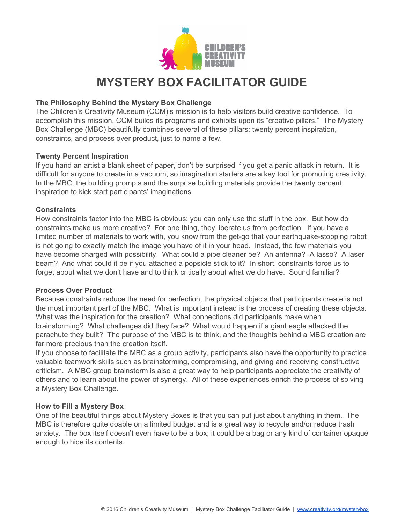

# **MYSTERY BOX FACILITATOR GUIDE**

## **The Philosophy Behind the Mystery Box Challenge**

The Children's Creativity Museum (CCM)'s mission is to help visitors build creative confidence. To accomplish this mission, CCM builds its programs and exhibits upon its "creative pillars." The Mystery Box Challenge (MBC) beautifully combines several of these pillars: twenty percent inspiration, constraints, and process over product, just to name a few.

#### **Twenty Percent Inspiration**

If you hand an artist a blank sheet of paper, don't be surprised if you get a panic attack in return. It is difficult for anyone to create in a vacuum, so imagination starters are a key tool for promoting creativity. In the MBC, the building prompts and the surprise building materials provide the twenty percent inspiration to kick start participants' imaginations.

#### **Constraints**

How constraints factor into the MBC is obvious: you can only use the stuff in the box. But how do constraints make us more creative? For one thing, they liberate us from perfection. If you have a limited number of materials to work with, you know from the get-go that your earthquake-stopping robot is not going to exactly match the image you have of it in your head. Instead, the few materials you have become charged with possibility. What could a pipe cleaner be? An antenna? A lasso? A laser beam? And what could it be if you attached a popsicle stick to it? In short, constraints force us to forget about what we don't have and to think critically about what we do have. Sound familiar?

#### **Process Over Product**

Because constraints reduce the need for perfection, the physical objects that participants create is not the most important part of the MBC. What is important instead is the process of creating these objects. What was the inspiration for the creation? What connections did participants make when brainstorming? What challenges did they face? What would happen if a giant eagle attacked the parachute they built? The purpose of the MBC is to think, and the thoughts behind a MBC creation are far more precious than the creation itself.

If you choose to facilitate the MBC as a group activity, participants also have the opportunity to practice valuable teamwork skills such as brainstorming, compromising, and giving and receiving constructive criticism. A MBC group brainstorm is also a great way to help participants appreciate the creativity of others and to learn about the power of synergy. All of these experiences enrich the process of solving a Mystery Box Challenge.

# **How to Fill a Mystery Box**

One of the beautiful things about Mystery Boxes is that you can put just about anything in them. The MBC is therefore quite doable on a limited budget and is a great way to recycle and/or reduce trash anxiety. The box itself doesn't even have to be a box; it could be a bag or any kind of container opaque enough to hide its contents.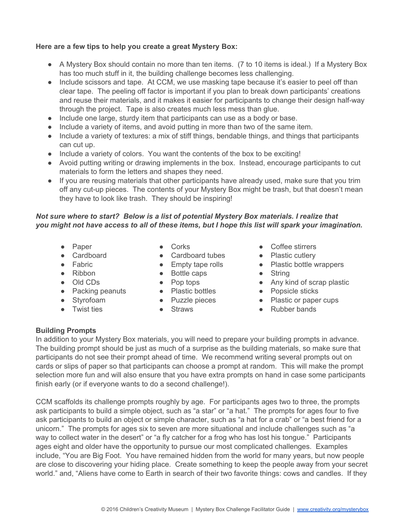## **Here are a few tips to help you create a great Mystery Box:**

- A Mystery Box should contain no more than ten items. (7 to 10 items is ideal.) If a Mystery Box has too much stuff in it, the building challenge becomes less challenging.
- Include scissors and tape. At CCM, we use masking tape because it's easier to peel off than clear tape. The peeling off factor is important if you plan to break down participants' creations and reuse their materials, and it makes it easier for participants to change their design half-way through the project. Tape is also creates much less mess than glue.
- Include one large, sturdy item that participants can use as a body or base.
- Include a variety of items, and avoid putting in more than two of the same item.
- Include a variety of textures: a mix of stiff things, bendable things, and things that participants can cut up.
- Include a variety of colors. You want the contents of the box to be exciting!
- Avoid putting writing or drawing implements in the box. Instead, encourage participants to cut materials to form the letters and shapes they need.
- If you are reusing materials that other participants have already used, make sure that you trim off any cut-up pieces. The contents of your Mystery Box might be trash, but that doesn't mean they have to look like trash. They should be inspiring!

# *Not sure where to start? Below is a list of potential Mystery Box materials. I realize that* you might not have access to all of these items, but I hope this list will spark your imagination.

- Paper
- Cardboard
- Fabric
- Ribbon
- Old CDs
- Packing peanuts
- Styrofoam
- Twist ties
- Corks
- Cardboard tubes
	- Empty tape rolls
	- Bottle caps
	- Pop tops
	- Plastic bottles
	- Puzzle pieces
- Straws
- Coffee stirrers
- Plastic cutlery
- Plastic bottle wrappers
- String
	- Any kind of scrap plastic
		- Popsicle sticks
		- Plastic or paper cups
	- Rubber bands

#### **Building Prompts**

In addition to your Mystery Box materials, you will need to prepare your building prompts in advance. The building prompt should be just as much of a surprise as the building materials, so make sure that participants do not see their prompt ahead of time. We recommend writing several prompts out on cards or slips of paper so that participants can choose a prompt at random. This will make the prompt selection more fun and will also ensure that you have extra prompts on hand in case some participants finish early (or if everyone wants to do a second challenge!).

CCM scaffolds its challenge prompts roughly by age. For participants ages two to three, the prompts ask participants to build a simple object, such as "a star" or "a hat." The prompts for ages four to five ask participants to build an object or simple character, such as "a hat for a crab" or "a best friend for a unicorn." The prompts for ages six to seven are more situational and include challenges such as "a way to collect water in the desert" or "a fly catcher for a frog who has lost his tongue." Participants ages eight and older have the opportunity to pursue our most complicated challenges. Examples include, "You are Big Foot. You have remained hidden from the world for many years, but now people are close to discovering your hiding place. Create something to keep the people away from your secret world." and, "Aliens have come to Earth in search of their two favorite things: cows and candles. If they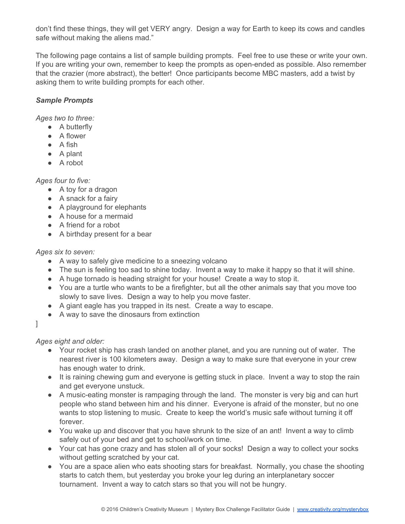don't find these things, they will get VERY angry. Design a way for Earth to keep its cows and candles safe without making the aliens mad."

The following page contains a list of sample building prompts. Feel free to use these or write your own. If you are writing your own, remember to keep the prompts as open-ended as possible. Also remember that the crazier (more abstract), the better! Once participants become MBC masters, add a twist by asking them to write building prompts for each other.

# *Sample Prompts*

*Ages two to three:*

- A butterfly
- A flower
- A fish
- A plant
- A robot

# *Ages four to five:*

- A toy for a dragon
- A snack for a fairy
- A playground for elephants
- A house for a mermaid
- A friend for a robot
- A birthday present for a bear

# *Ages six to seven:*

- A way to safely give medicine to a sneezing volcano
- The sun is feeling too sad to shine today. Invent a way to make it happy so that it will shine.
- A huge tornado is heading straight for your house! Create a way to stop it.
- You are a turtle who wants to be a firefighter, but all the other animals say that you move too slowly to save lives. Design a way to help you move faster.
- A giant eagle has you trapped in its nest. Create a way to escape.
- A way to save the dinosaurs from extinction

#### ]

# *Ages eight and older:*

- Your rocket ship has crash landed on another planet, and you are running out of water. The nearest river is 100 kilometers away. Design a way to make sure that everyone in your crew has enough water to drink.
- It is raining chewing gum and everyone is getting stuck in place. Invent a way to stop the rain and get everyone unstuck.
- A music-eating monster is rampaging through the land. The monster is very big and can hurt people who stand between him and his dinner. Everyone is afraid of the monster, but no one wants to stop listening to music. Create to keep the world's music safe without turning it off forever.
- You wake up and discover that you have shrunk to the size of an ant! Invent a way to climb safely out of your bed and get to school/work on time.
- Your cat has gone crazy and has stolen all of your socks! Design a way to collect your socks without getting scratched by your cat.
- You are a space alien who eats shooting stars for breakfast. Normally, you chase the shooting starts to catch them, but yesterday you broke your leg during an interplanetary soccer tournament. Invent a way to catch stars so that you will not be hungry.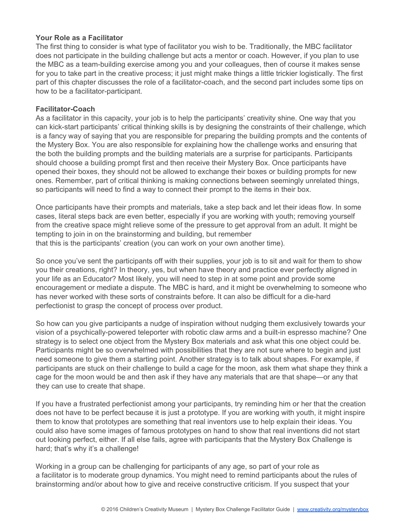## **Your Role as a Facilitator**

The first thing to consider is what type of facilitator you wish to be. Traditionally, the MBC facilitator does not participate in the building challenge but acts a mentor or coach. However, if you plan to use the MBC as a team-building exercise among you and your colleagues, then of course it makes sense for you to take part in the creative process; it just might make things a little trickier logistically. The first part of this chapter discusses the role of a facilitator-coach, and the second part includes some tips on how to be a facilitator-participant.

#### **Facilitator-Coach**

As a facilitator in this capacity, your job is to help the participants' creativity shine. One way that you can kick-start participants' critical thinking skills is by designing the constraints of their challenge, which is a fancy way of saying that you are responsible for preparing the building prompts and the contents of the Mystery Box. You are also responsible for explaining how the challenge works and ensuring that the both the building prompts and the building materials are a surprise for participants. Participants should choose a building prompt first and then receive their Mystery Box. Once participants have opened their boxes, they should not be allowed to exchange their boxes or building prompts for new ones. Remember, part of critical thinking is making connections between seemingly unrelated things, so participants will need to find a way to connect their prompt to the items in their box.

Once participants have their prompts and materials, take a step back and let their ideas flow. In some cases, literal steps back are even better, especially if you are working with youth; removing yourself from the creative space might relieve some of the pressure to get approval from an adult. It might be tempting to join in on the brainstorming and building, but remember that this is the participants' creation (you can work on your own another time).

So once you've sent the participants off with their supplies, your job is to sit and wait for them to show you their creations, right? In theory, yes, but when have theory and practice ever perfectly aligned in your life as an Educator? Most likely, you will need to step in at some point and provide some encouragement or mediate a dispute. The MBC is hard, and it might be overwhelming to someone who has never worked with these sorts of constraints before. It can also be difficult for a die-hard perfectionist to grasp the concept of process over product.

So how can you give participants a nudge of inspiration without nudging them exclusively towards your vision of a psychically-powered teleporter with robotic claw arms and a built-in espresso machine? One strategy is to select one object from the Mystery Box materials and ask what this one object could be. Participants might be so overwhelmed with possibilities that they are not sure where to begin and just need someone to give them a starting point. Another strategy is to talk about shapes. For example, if participants are stuck on their challenge to build a cage for the moon, ask them what shape they think a cage for the moon would be and then ask if they have any materials that are that shape—or any that they can use to create that shape.

If you have a frustrated perfectionist among your participants, try reminding him or her that the creation does not have to be perfect because it is just a prototype. If you are working with youth, it might inspire them to know that prototypes are something that real inventors use to help explain their ideas. You could also have some images of famous prototypes on hand to show that real inventions did not start out looking perfect, either. If all else fails, agree with participants that the Mystery Box Challenge is hard; that's why it's a challenge!

Working in a group can be challenging for participants of any age, so part of your role as a facilitator is to moderate group dynamics. You might need to remind participants about the rules of brainstorming and/or about how to give and receive constructive criticism. If you suspect that your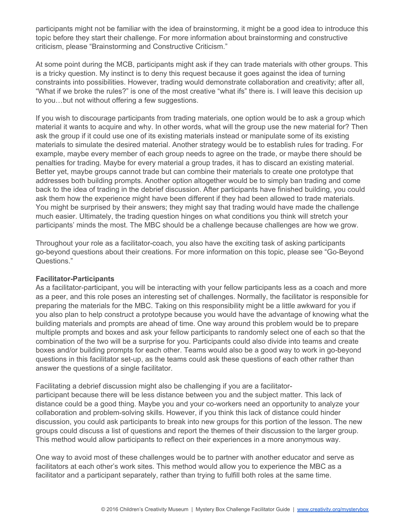participants might not be familiar with the idea of brainstorming, it might be a good idea to introduce this topic before they start their challenge. For more information about brainstorming and constructive criticism, please "Brainstorming and Constructive Criticism."

At some point during the MCB, participants might ask if they can trade materials with other groups. This is a tricky question. My instinct is to deny this request because it goes against the idea of turning constraints into possibilities. However, trading would demonstrate collaboration and creativity; after all, "What if we broke the rules?" is one of the most creative "what ifs" there is. I will leave this decision up to you…but not without offering a few suggestions.

If you wish to discourage participants from trading materials, one option would be to ask a group which material it wants to acquire and why. In other words, what will the group use the new material for? Then ask the group if it could use one of its existing materials instead or manipulate some of its existing materials to simulate the desired material. Another strategy would be to establish rules for trading. For example, maybe every member of each group needs to agree on the trade, or maybe there should be penalties for trading. Maybe for every material a group trades, it has to discard an existing material. Better yet, maybe groups cannot trade but can combine their materials to create one prototype that addresses both building prompts. Another option altogether would be to simply ban trading and come back to the idea of trading in the debrief discussion. After participants have finished building, you could ask them how the experience might have been different if they had been allowed to trade materials. You might be surprised by their answers; they might say that trading would have made the challenge much easier. Ultimately, the trading question hinges on what conditions you think will stretch your participants' minds the most. The MBC should be a challenge because challenges are how we grow.

Throughout your role as a facilitator-coach, you also have the exciting task of asking participants go-beyond questions about their creations. For more information on this topic, please see "Go-Beyond Questions."

#### **Facilitator-Participants**

As a facilitator-participant, you will be interacting with your fellow participants less as a coach and more as a peer, and this role poses an interesting set of challenges. Normally, the facilitator is responsible for preparing the materials for the MBC. Taking on this responsibility might be a little awkward for you if you also plan to help construct a prototype because you would have the advantage of knowing what the building materials and prompts are ahead of time. One way around this problem would be to prepare multiple prompts and boxes and ask your fellow participants to randomly select one of each so that the combination of the two will be a surprise for you. Participants could also divide into teams and create boxes and/or building prompts for each other. Teams would also be a good way to work in go-beyond questions in this facilitator set-up, as the teams could ask these questions of each other rather than answer the questions of a single facilitator.

Facilitating a debrief discussion might also be challenging if you are a facilitatorparticipant because there will be less distance between you and the subject matter. This lack of distance could be a good thing. Maybe you and your co-workers need an opportunity to analyze your collaboration and problem-solving skills. However, if you think this lack of distance could hinder discussion, you could ask participants to break into new groups for this portion of the lesson. The new groups could discuss a list of questions and report the themes of their discussion to the larger group. This method would allow participants to reflect on their experiences in a more anonymous way.

One way to avoid most of these challenges would be to partner with another educator and serve as facilitators at each other's work sites. This method would allow you to experience the MBC as a facilitator and a participant separately, rather than trying to fulfill both roles at the same time.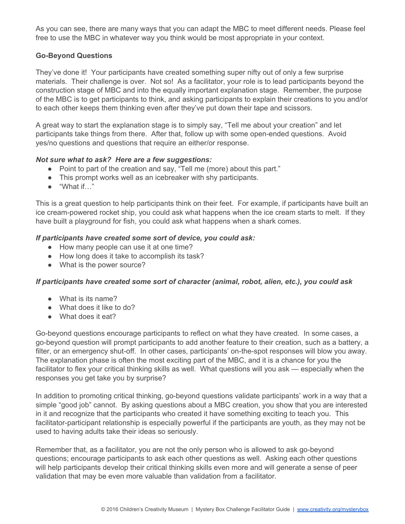As you can see, there are many ways that you can adapt the MBC to meet different needs. Please feel free to use the MBC in whatever way you think would be most appropriate in your context.

# **Go-Beyond Questions**

They've done it! Your participants have created something super nifty out of only a few surprise materials. Their challenge is over. Not so! As a facilitator, your role is to lead participants beyond the construction stage of MBC and into the equally important explanation stage. Remember, the purpose of the MBC is to get participants to think, and asking participants to explain their creations to you and/or to each other keeps them thinking even after they've put down their tape and scissors.

A great way to start the explanation stage is to simply say, "Tell me about your creation" and let participants take things from there. After that, follow up with some openended questions. Avoid yes/no questions and questions that require an either/or response.

# *Not sure what to ask? Here are a few suggestions:*

- Point to part of the creation and say, "Tell me (more) about this part."
- This prompt works well as an icebreaker with shy participants.
- "What if…"

This is a great question to help participants think on their feet. For example, if participants have built an ice cream-powered rocket ship, you could ask what happens when the ice cream starts to melt. If they have built a playground for fish, you could ask what happens when a shark comes.

#### *If participants have created some sort of device, you could ask:*

- How many people can use it at one time?
- How long does it take to accomplish its task?
- What is the power source?

# *If participants have created some sort of character (animal, robot, alien, etc.), you could ask*

- What is its name?
- What does it like to do?
- What does it eat?

Go-beyond questions encourage participants to reflect on what they have created. In some cases, a go-beyond question will prompt participants to add another feature to their creation, such as a battery, a filter, or an emergency shut-off. In other cases, participants' on-the-spot responses will blow you away. The explanation phase is often the most exciting part of the MBC, and it is a chance for you the facilitator to flex your critical thinking skills as well. What questions will you ask — especially when the responses you get take you by surprise?

In addition to promoting critical thinking, go-beyond questions validate participants' work in a way that a simple "good job" cannot. By asking questions about a MBC creation, you show that you are interested in it and recognize that the participants who created it have something exciting to teach you. This facilitator-participant relationship is especially powerful if the participants are youth, as they may not be used to having adults take their ideas so seriously.

Remember that, as a facilitator, you are not the only person who is allowed to ask go-beyond questions; encourage participants to ask each other questions as well. Asking each other questions will help participants develop their critical thinking skills even more and will generate a sense of peer validation that may be even more valuable than validation from a facilitator.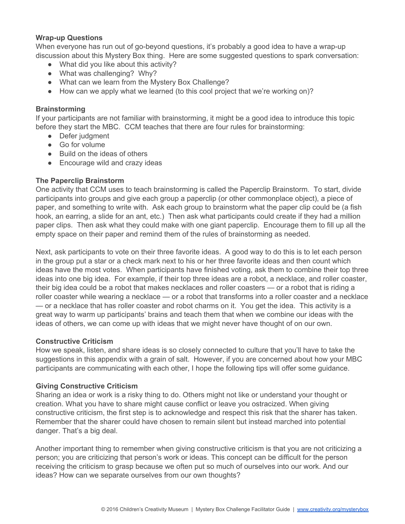#### **Wrap-up Questions**

When everyone has run out of go-beyond questions, it's probably a good idea to have a wrap-up discussion about this Mystery Box thing. Here are some suggested questions to spark conversation:

- What did you like about this activity?
- What was challenging? Why?
- What can we learn from the Mystery Box Challenge?
- How can we apply what we learned (to this cool project that we're working on)?

#### **Brainstorming**

If your participants are not familiar with brainstorming, it might be a good idea to introduce this topic before they start the MBC. CCM teaches that there are four rules for brainstorming:

- Defer judgment
- Go for volume
- Build on the ideas of others
- Encourage wild and crazy ideas

# **The Paperclip Brainstorm**

One activity that CCM uses to teach brainstorming is called the Paperclip Brainstorm. To start, divide participants into groups and give each group a paperclip (or other commonplace object), a piece of paper, and something to write with. Ask each group to brainstorm what the paper clip could be (a fish hook, an earring, a slide for an ant, etc.) Then ask what participants could create if they had a million paper clips. Then ask what they could make with one giant paperclip. Encourage them to fill up all the empty space on their paper and remind them of the rules of brainstorming as needed.

Next, ask participants to vote on their three favorite ideas. A good way to do this is to let each person in the group put a star or a check mark next to his or her three favorite ideas and then count which ideas have the most votes. When participants have finished voting, ask them to combine their top three ideas into one big idea. For example, if their top three ideas are a robot, a necklace, and roller coaster, their big idea could be a robot that makes necklaces and roller coasters — or a robot that is riding a roller coaster while wearing a necklace — or a robot that transforms into a roller coaster and a necklace — or a necklace that has roller coaster and robot charms on it. You get the idea. This activity is a great way to warm up participants' brains and teach them that when we combine our ideas with the ideas of others, we can come up with ideas that we might never have thought of on our own.

#### **Constructive Criticism**

How we speak, listen, and share ideas is so closely connected to culture that you'll have to take the suggestions in this appendix with a grain of salt. However, if you are concerned about how your MBC participants are communicating with each other, I hope the following tips will offer some guidance.

# **Giving Constructive Criticism**

Sharing an idea or work is a risky thing to do. Others might not like or understand your thought or creation. What you have to share might cause conflict or leave you ostracized. When giving constructive criticism, the first step is to acknowledge and respect this risk that the sharer has taken. Remember that the sharer could have chosen to remain silent but instead marched into potential danger. That's a big deal.

Another important thing to remember when giving constructive criticism is that you are not criticizing a person; you are criticizing that person's work or ideas. This concept can be difficult for the person receiving the criticism to grasp because we often put so much of ourselves into our work. And our ideas? How can we separate ourselves from our own thoughts?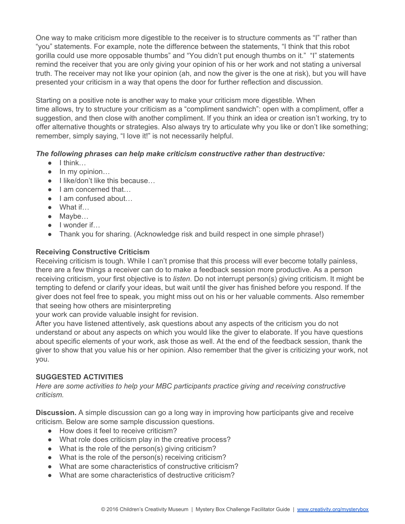One way to make criticism more digestible to the receiver is to structure comments as "I" rather than "you" statements. For example, note the difference between the statements, "I think that this robot gorilla could use more opposable thumbs" and "You didn't put enough thumbs on it." "I" statements remind the receiver that you are only giving your opinion of his or her work and not stating a universal truth. The receiver may not like your opinion (ah, and now the giver is the one at risk), but you will have presented your criticism in a way that opens the door for further reflection and discussion.

Starting on a positive note is another way to make your criticism more digestible. When time allows, try to structure your criticism as a "compliment sandwich": open with a compliment, offer a suggestion, and then close with another compliment. If you think an idea or creation isn't working, try to offer alternative thoughts or strategies. Also always try to articulate why you like or don't like something; remember, simply saying, "I love it!" is not necessarily helpful.

# *The following phrases can help make criticism constructive rather than destructive:*

- I think…
- In my opinion…
- I like/don't like this because...
- I am concerned that...
- Lam confused about...
- What if…
- Maybe…
- I wonder if…
- Thank you for sharing. (Acknowledge risk and build respect in one simple phrase!)

# **Receiving Constructive Criticism**

Receiving criticism is tough. While I can't promise that this process will ever become totally painless, there are a few things a receiver can do to make a feedback session more productive. As a person receiving criticism, your first objective is to *listen*. Do not interrupt person(s) giving criticism. It might be tempting to defend or clarify your ideas, but wait until the giver has finished before you respond. If the giver does not feel free to speak, you might miss out on his or her valuable comments. Also remember that seeing how others are misinterpreting

your work can provide valuable insight for revision.

After you have listened attentively, ask questions about any aspects of the criticism you do not understand or about any aspects on which you would like the giver to elaborate. If you have questions about specific elements of your work, ask those as well. At the end of the feedback session, thank the giver to show that you value his or her opinion. Also remember that the giver is criticizing your work, not you.

# **SUGGESTED ACTIVITIES**

*Here are some activities to help your MBC participants practice giving and receiving constructive criticism.*

**Discussion.**A simple discussion can go a long way in improving how participants give and receive criticism. Below are some sample discussion questions.

- How does it feel to receive criticism?
- What role does criticism play in the creative process?
- What is the role of the person(s) giving criticism?
- What is the role of the person(s) receiving criticism?
- What are some characteristics of constructive criticism?
- What are some characteristics of destructive criticism?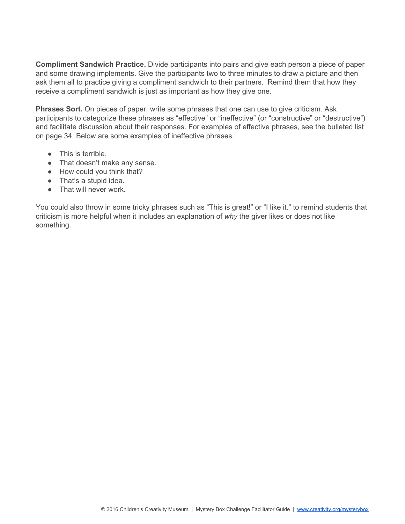**Compliment Sandwich Practice.** Divide participants into pairs and give each person a piece of paper and some drawing implements. Give the participants two to three minutes to draw a picture and then ask them all to practice giving a compliment sandwich to their partners. Remind them that how they receive a compliment sandwich is just as important as how they give one.

**Phrases Sort.** On pieces of paper, write some phrases that one can use to give criticism. Ask participants to categorize these phrases as "effective" or "ineffective" (or "constructive" or "destructive") and facilitate discussion about their responses. For examples of effective phrases, see the bulleted list on page 34. Below are some examples of ineffective phrases.

- This is terrible.
- That doesn't make any sense.
- How could you think that?
- That's a stupid idea.
- That will never work.

You could also throw in some tricky phrases such as "This is great!" or "I like it." to remind students that criticism is more helpful when it includes an explanation of *why* the giver likes or does not like something.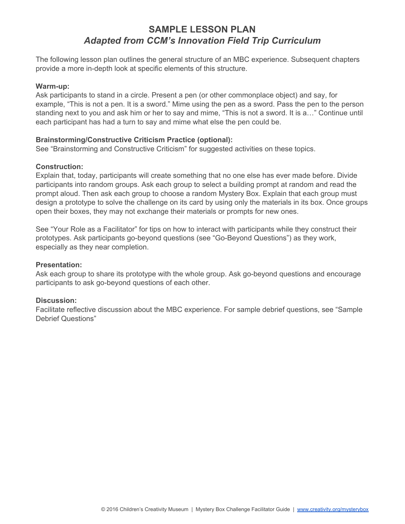# **SAMPLE LESSON PLAN** *Adapted from CCM's Innovation Field Trip Curriculum*

The following lesson plan outlines the general structure of an MBC experience. Subsequent chapters provide a more in-depth look at specific elements of this structure.

#### **Warm-up:**

Ask participants to stand in a circle. Present a pen (or other commonplace object) and say, for example, "This is not a pen. It is a sword." Mime using the pen as a sword. Pass the pen to the person standing next to you and ask him or her to say and mime, "This is not a sword. It is a…" Continue until each participant has had a turn to say and mime what else the pen could be.

#### **Brainstorming/Constructive Criticism Practice (optional):**

See "Brainstorming and Constructive Criticism" for suggested activities on these topics.

#### **Construction:**

Explain that, today, participants will create something that no one else has ever made before. Divide participants into random groups. Ask each group to select a building prompt at random and read the prompt aloud. Then ask each group to choose a random Mystery Box. Explain that each group must design a prototype to solve the challenge on its card by using only the materials in its box. Once groups open their boxes, they may not exchange their materials or prompts for new ones.

See "Your Role as a Facilitator" for tips on how to interact with participants while they construct their prototypes. Ask participants go-beyond questions (see "Go-Beyond Questions") as they work, especially as they near completion.

#### **Presentation:**

Ask each group to share its prototype with the whole group. Ask go-beyond questions and encourage participants to ask go-beyond questions of each other.

#### **Discussion:**

Facilitate reflective discussion about the MBC experience. For sample debrief questions, see "Sample Debrief Questions"